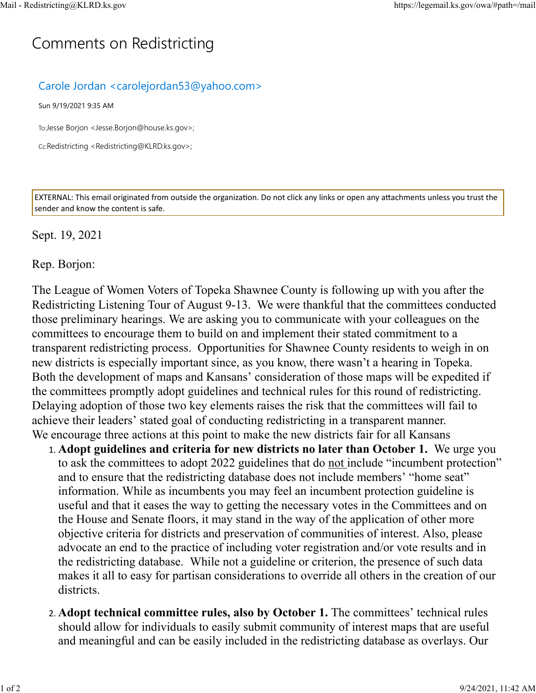## C[omm](https://legemail.ks.gov/owa/#path=/mail)ents on Redistricting

## Carole Jordan <carolejordan53@yahoo.com>

Sun 9/19/2021 9:35 AM

To:Jesse Borjon <Jesse.Borjon@house.ks.gov>;

Cc:Redistricting <Redistricting@KLRD.ks.gov>;

EXTERNAL: This email originated from outside the organization. Do not click any links or open any attachments unless you trust the sender and know the content is safe.

## Sept. 19, 2021

Rep. Borjon:

The League of Women Voters of Topeka Shawnee County is following up with you after the Redistricting Listening Tour of August 9-13. We were thankful that the committees conducted those preliminary hearings. We are asking you to communicate with your colleagues on the committees to encourage them to build on and implement their stated commitment to a transparent redistricting process. Opportunities for Shawnee County residents to weigh in on new districts is especially important since, as you know, there wasn't a hearing in Topeka. Both the development of maps and Kansans' consideration of those maps will be expedited if the committees promptly adopt guidelines and technical rules for this round of redistricting. Delaying adoption of those two key elements raises the risk that the committees will fail to achieve their leaders' stated goal of conducting redistricting in a transparent manner. We encourage three actions at this point to make the new districts fair for all Kansans

- 1. **Adopt guidelines and criteria for new districts no later than October 1.** We urge you to ask the committees to adopt 2022 guidelines that do not include "incumbent protection" and to ensure that the redistricting database does not include members' "home seat" information. While as incumbents you may feel an incumbent protection guideline is useful and that it eases the way to getting the necessary votes in the Committees and on the House and Senate floors, it may stand in the way of the application of other more objective criteria for districts and preservation of communities of interest. Also, please advocate an end to the practice of including voter registration and/or vote results and in the redistricting database. While not a guideline or criterion, the presence of such data makes it all to easy for partisan considerations to override all others in the creation of our districts.
- 2. **Adopt technical committee rules, also by October 1.** The committees' technical rules should allow for individuals to easily submit community of interest maps that are useful and meaningful and can be easily included in the redistricting database as overlays. Our